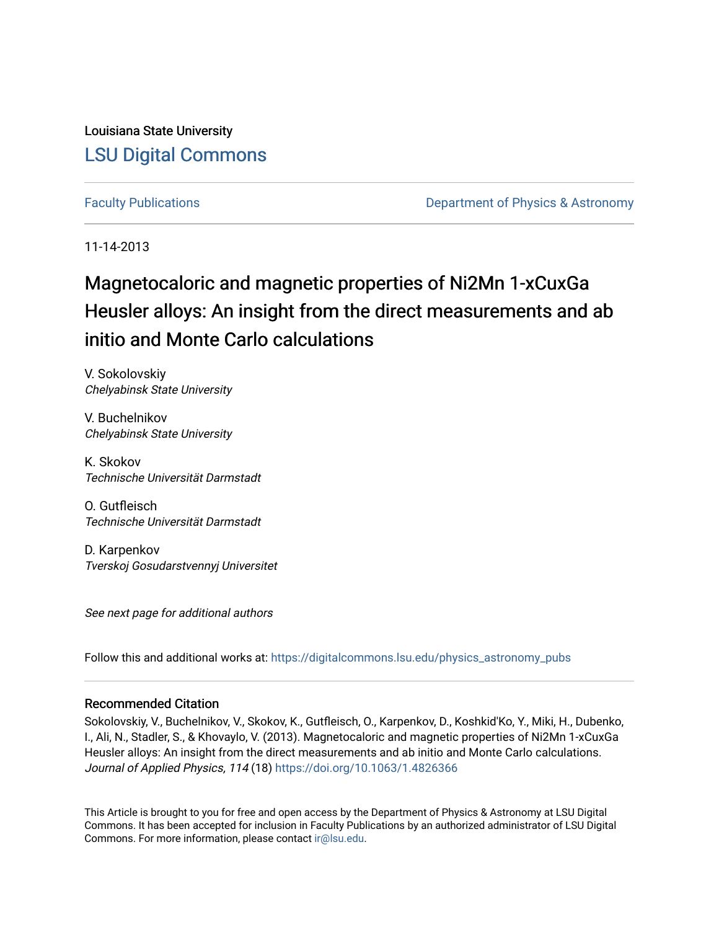Louisiana State University [LSU Digital Commons](https://digitalcommons.lsu.edu/)

[Faculty Publications](https://digitalcommons.lsu.edu/physics_astronomy_pubs) **Exercise 2** and Table 2 and Department of Physics & Astronomy

11-14-2013

## Magnetocaloric and magnetic properties of Ni2Mn 1-xCuxGa Heusler alloys: An insight from the direct measurements and ab initio and Monte Carlo calculations

V. Sokolovskiy Chelyabinsk State University

V. Buchelnikov Chelyabinsk State University

K. Skokov Technische Universität Darmstadt

O. Gutfleisch Technische Universität Darmstadt

D. Karpenkov Tverskoj Gosudarstvennyj Universitet

See next page for additional authors

Follow this and additional works at: [https://digitalcommons.lsu.edu/physics\\_astronomy\\_pubs](https://digitalcommons.lsu.edu/physics_astronomy_pubs?utm_source=digitalcommons.lsu.edu%2Fphysics_astronomy_pubs%2F5267&utm_medium=PDF&utm_campaign=PDFCoverPages) 

### Recommended Citation

Sokolovskiy, V., Buchelnikov, V., Skokov, K., Gutfleisch, O., Karpenkov, D., Koshkid'Ko, Y., Miki, H., Dubenko, I., Ali, N., Stadler, S., & Khovaylo, V. (2013). Magnetocaloric and magnetic properties of Ni2Mn 1-xCuxGa Heusler alloys: An insight from the direct measurements and ab initio and Monte Carlo calculations. Journal of Applied Physics, 114 (18) <https://doi.org/10.1063/1.4826366>

This Article is brought to you for free and open access by the Department of Physics & Astronomy at LSU Digital Commons. It has been accepted for inclusion in Faculty Publications by an authorized administrator of LSU Digital Commons. For more information, please contact [ir@lsu.edu](mailto:ir@lsu.edu).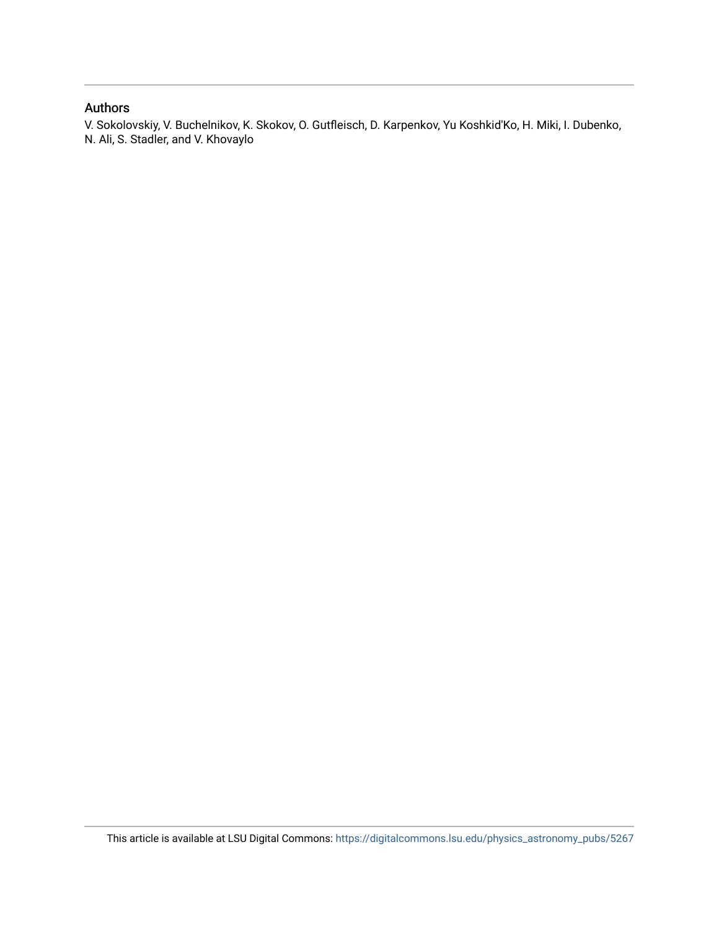### Authors

V. Sokolovskiy, V. Buchelnikov, K. Skokov, O. Gutfleisch, D. Karpenkov, Yu Koshkid'Ko, H. Miki, I. Dubenko, N. Ali, S. Stadler, and V. Khovaylo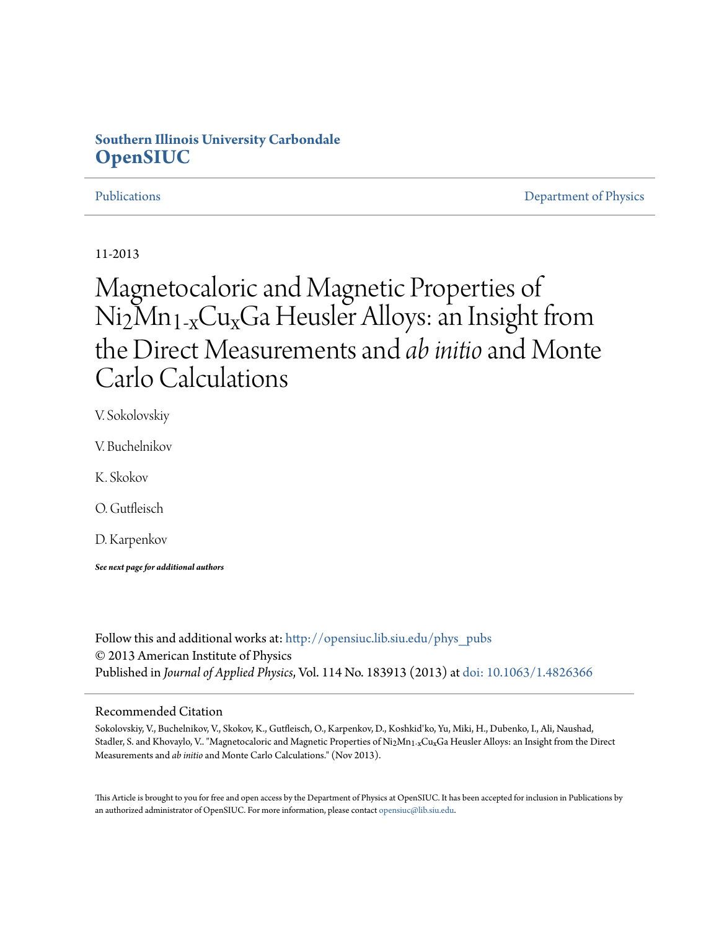## **Southern Illinois University Carbondale [OpenSIUC](http://opensiuc.lib.siu.edu?utm_source=opensiuc.lib.siu.edu%2Fphys_pubs%2F68&utm_medium=PDF&utm_campaign=PDFCoverPages)**

[Publications](http://opensiuc.lib.siu.edu/phys_pubs?utm_source=opensiuc.lib.siu.edu%2Fphys_pubs%2F68&utm_medium=PDF&utm_campaign=PDFCoverPages) [Department of Physics](http://opensiuc.lib.siu.edu/phys?utm_source=opensiuc.lib.siu.edu%2Fphys_pubs%2F68&utm_medium=PDF&utm_campaign=PDFCoverPages)

### 11-2013

# Magnetocaloric and Magnetic Properties of Ni2Mn1-xCuxGa Heusler Alloys: an Insight from the Direct Measurements and *ab initio*and Monte Carlo Calculations

V. Sokolovskiy

V. Buchelnikov

K. Skokov

O. Gutfleisch

D. Karpenkov

*See next page for additional authors*

Follow this and additional works at: [http://opensiuc.lib.siu.edu/phys\\_pubs](http://opensiuc.lib.siu.edu/phys_pubs?utm_source=opensiuc.lib.siu.edu%2Fphys_pubs%2F68&utm_medium=PDF&utm_campaign=PDFCoverPages) © 2013 American Institute of Physics Published in *Journal of Applied Physics*, Vol. 114 No. 183913 (2013) at [doi: 10.1063/1.4826366](http://dx.doi.org/10.1063/1.4826366)

### Recommended Citation

Sokolovskiy, V., Buchelnikov, V., Skokov, K., Gutfleisch, O., Karpenkov, D., Koshkid'ko, Yu, Miki, H., Dubenko, I., Ali, Naushad, Stadler, S. and Khovaylo, V.. "Magnetocaloric and Magnetic Properties of Ni<sub>2</sub>Mn<sub>1-x</sub>Cu<sub>x</sub>Ga Heusler Alloys: an Insight from the Direct Measurements and *ab initio* and Monte Carlo Calculations." (Nov 2013).

This Article is brought to you for free and open access by the Department of Physics at OpenSIUC. It has been accepted for inclusion in Publications by an authorized administrator of OpenSIUC. For more information, please contact [opensiuc@lib.siu.edu.](mailto:opensiuc@lib.siu.edu)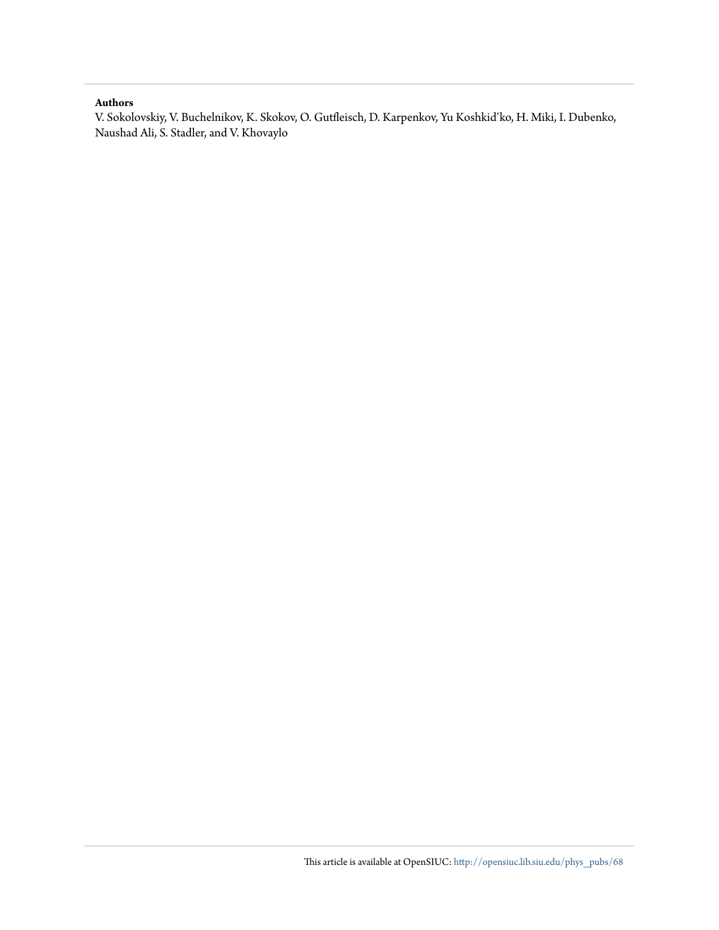### **Authors**

V. Sokolovskiy, V. Buchelnikov, K. Skokov, O. Gutfleisch, D. Karpenkov, Yu Koshkid'ko, H. Miki, I. Dubenko, Naushad Ali, S. Stadler, and V. Khovaylo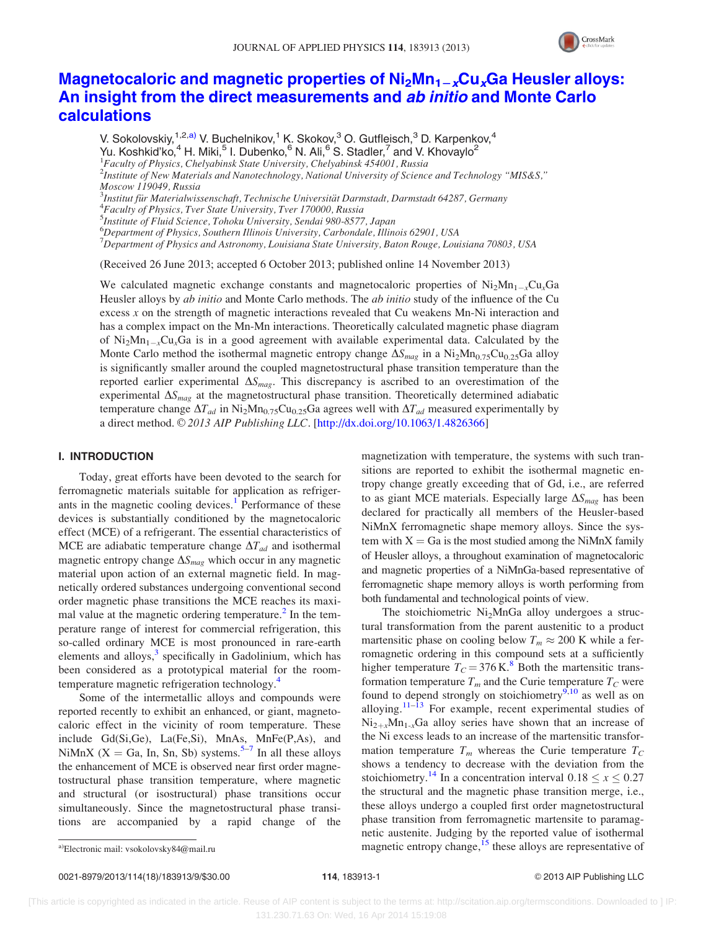

### Magnetocaloric and magnetic properties of  $Ni<sub>2</sub>Mn<sub>1-x</sub>Cu<sub>x</sub>Ga$  $Ni<sub>2</sub>Mn<sub>1-x</sub>Cu<sub>x</sub>Ga$  $Ni<sub>2</sub>Mn<sub>1-x</sub>Cu<sub>x</sub>Ga$  $Ni<sub>2</sub>Mn<sub>1-x</sub>Cu<sub>x</sub>Ga$  $Ni<sub>2</sub>Mn<sub>1-x</sub>Cu<sub>x</sub>Ga$  Heusler alloys: [An insight from the direct measurements and](http://dx.doi.org/10.1063/1.4826366) ab initio and Monte Carlo [calculations](http://dx.doi.org/10.1063/1.4826366)

V. Sokolovskiy,<sup>1,2,a)</sup> V. Buchelnikov,<sup>1</sup> K. Skokov,<sup>3</sup> O. Gutfleisch,<sup>3</sup> D. Karpenkov,<sup>4</sup> Yu. Koshkid'ko,<sup>4</sup> H. Miki,<sup>5</sup> I. Dubenko,<sup>6</sup> N. Ali,<sup>6</sup> S. Stadler,<sup>7</sup> and V. Khovaylo<sup>2</sup> <sup>1</sup>Faculty of Physics, Chelyabinsk State University, Chelyabinsk 454001, Russia <sup>2</sup>Institute of New Materials and Nanotechnology, National University of Science and Technology "MIS&S," Moscow 119049, Russia <sup>3</sup>Institut für Materialwissenschaft, Technische Universität Darmstadt, Darmstadt 64287, Germany<br><sup>4</sup>Eaculty of Physics, Tyar State University, Tyar 170000, Pussia  ${}^{4}$ Faculty of Physics, Tver State University, Tver 170000, Russia 5 Institute of Fluid Science, Tohoku University, Sendai 980-8577, Japan 6 Department of Physics, Southern Illinois University, Carbondale, Illinois 62901, USA  $^7$ Department of Physics and Astronomy, Louisiana State University, Baton Rouge, Louisiana 70803, USA

(Received 26 June 2013; accepted 6 October 2013; published online 14 November 2013)

We calculated magnetic exchange constants and magnetocaloric properties of  $Ni<sub>2</sub>Mn<sub>1-x</sub>Cu<sub>x</sub>Ga$ Heusler alloys by *ab initio* and Monte Carlo methods. The *ab initio* study of the influence of the Cu excess  $x$  on the strength of magnetic interactions revealed that Cu weakens Mn-Ni interaction and has a complex impact on the Mn-Mn interactions. Theoretically calculated magnetic phase diagram of  $\text{Ni}_2\text{Mn}_{1-x}\text{Cu}_x\text{Ga}$  is in a good agreement with available experimental data. Calculated by the Monte Carlo method the isothermal magnetic entropy change  $\Delta S_{mag}$  in a Ni<sub>2</sub>Mn<sub>0.75</sub>Cu<sub>0.25</sub>Ga alloy is significantly smaller around the coupled magnetostructural phase transition temperature than the reported earlier experimental  $\Delta S_{mag}$ . This discrepancy is ascribed to an overestimation of the experimental  $\Delta S_{mag}$  at the magnetostructural phase transition. Theoretically determined adiabatic temperature change  $\Delta T_{ad}$  in Ni<sub>2</sub>Mn<sub>0.75</sub>Cu<sub>0.25</sub>Ga agrees well with  $\Delta T_{ad}$  measured experimentally by a direct method.  $\odot$  2013 AIP Publishing LLC. [\[http://dx.doi.org/10.1063/1.4826366](http://dx.doi.org/10.1063/1.4826366)]

### I. INTRODUCTION

Today, great efforts have been devoted to the search for ferromagnetic materials suitable for application as refriger-ants in the magnetic cooling devices.<sup>[1](#page-11-0)</sup> Performance of these devices is substantially conditioned by the magnetocaloric effect (MCE) of a refrigerant. The essential characteristics of MCE are adiabatic temperature change  $\Delta T_{ad}$  and isothermal magnetic entropy change  $\Delta S_{mag}$  which occur in any magnetic material upon action of an external magnetic field. In magnetically ordered substances undergoing conventional second order magnetic phase transitions the MCE reaches its maxi-mal value at the magnetic ordering temperature.<sup>[2](#page-11-0)</sup> In the temperature range of interest for commercial refrigeration, this so-called ordinary MCE is most pronounced in rare-earth elements and alloys, $3$  specifically in Gadolinium, which has been considered as a prototypical material for the room-temperature magnetic refrigeration technology.<sup>[4](#page-12-0)</sup>

Some of the intermetallic alloys and compounds were reported recently to exhibit an enhanced, or giant, magnetocaloric effect in the vicinity of room temperature. These include Gd(Si,Ge), La(Fe,Si), MnAs, MnFe(P,As), and NiMnX (X = Ga, In, Sn, Sb) systems.<sup>[5](#page-12-0)–[7](#page-12-0)</sup> In all these alloys the enhancement of MCE is observed near first order magnetostructural phase transition temperature, where magnetic and structural (or isostructural) phase transitions occur simultaneously. Since the magnetostructural phase transitions are accompanied by a rapid change of the magnetization with temperature, the systems with such transitions are reported to exhibit the isothermal magnetic entropy change greatly exceeding that of Gd, i.e., are referred to as giant MCE materials. Especially large  $\Delta S_{mag}$  has been declared for practically all members of the Heusler-based NiMnX ferromagnetic shape memory alloys. Since the system with  $X = Ga$  is the most studied among the NiMnX family of Heusler alloys, a throughout examination of magnetocaloric and magnetic properties of a NiMnGa-based representative of ferromagnetic shape memory alloys is worth performing from both fundamental and technological points of view.

The stoichiometric  $Ni<sub>2</sub>MnGa$  alloy undergoes a structural transformation from the parent austenitic to a product martensitic phase on cooling below  $T_m \approx 200$  K while a ferromagnetic ordering in this compound sets at a sufficiently higher temperature  $T_C = 376 \text{ K}^8$  $T_C = 376 \text{ K}^8$  Both the martensitic transformation temperature  $T_m$  and the Curie temperature  $T_c$  were found to depend strongly on stoichiometry $9,10$  $9,10$  $9,10$  as well as on alloying.<sup>[11–13](#page-12-0)</sup> For example, recent experimental studies of  $Ni_{2+x}Mn_{1-x}Ga$  alloy series have shown that an increase of the Ni excess leads to an increase of the martensitic transformation temperature  $T_m$  whereas the Curie temperature  $T_c$ shows a tendency to decrease with the deviation from the stoichiometry.<sup>[14](#page-12-0)</sup> In a concentration interval  $0.18 \le x \le 0.27$ the structural and the magnetic phase transition merge, i.e., these alloys undergo a coupled first order magnetostructural phase transition from ferromagnetic martensite to paramagnetic austenite. Judging by the reported value of isothermal a)Electronic mail: vsokolovsky84@mail.ru magnetic entropy change,<sup>[15](#page-12-0)</sup> these alloys are representative of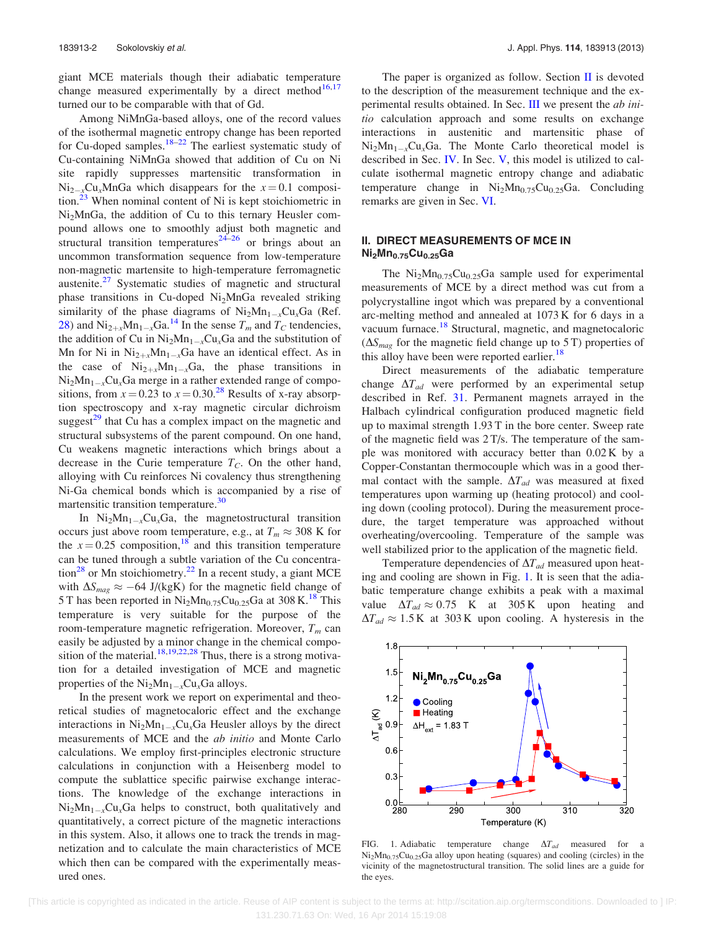<span id="page-5-0"></span>giant MCE materials though their adiabatic temperature change measured experimentally by a direct method<sup>[16,17](#page-12-0)</sup> turned our to be comparable with that of Gd.

Among NiMnGa-based alloys, one of the record values of the isothermal magnetic entropy change has been reported for Cu-doped samples.<sup>[18–22](#page-12-0)</sup> The earliest systematic study of Cu-containing NiMnGa showed that addition of Cu on Ni site rapidly suppresses martensitic transformation in  $\text{Ni}_{2-x}\text{Cu}_x\text{MnGa}$  which disappears for the  $x=0.1$  composi-tion.<sup>[23](#page-12-0)</sup> When nominal content of Ni is kept stoichiometric in Ni2MnGa, the addition of Cu to this ternary Heusler compound allows one to smoothly adjust both magnetic and structural transition temperatures<sup>[24–26](#page-12-0)</sup> or brings about an uncommon transformation sequence from low-temperature non-magnetic martensite to high-temperature ferromagnetic austenite.<sup>[27](#page-12-0)</sup> Systematic studies of magnetic and structural phase transitions in Cu-doped Ni<sub>2</sub>MnGa revealed striking similarity of the phase diagrams of  $Ni<sub>2</sub>Mn<sub>1-x</sub>Cu<sub>x</sub>Ga$  (Ref. [28](#page-12-0)) and  $\text{Ni}_{2+x}\text{Mn}_{1-x}\text{Ga}^{14}$  $\text{Ni}_{2+x}\text{Mn}_{1-x}\text{Ga}^{14}$  $\text{Ni}_{2+x}\text{Mn}_{1-x}\text{Ga}^{14}$  In the sense  $T_m$  and  $T_C$  tendencies, the addition of Cu in  $Ni<sub>2</sub>Mn<sub>1-x</sub>Cu<sub>x</sub>Ga$  and the substitution of Mn for Ni in  $Ni_{2+x}Mn_{1-x}Ga$  have an identical effect. As in the case of  $Ni_{2+x}Mn_{1-x}Ga$ , the phase transitions in  $Ni<sub>2</sub>Mn<sub>1-x</sub>Cu<sub>x</sub>Ga$  merge in a rather extended range of compositions, from  $x = 0.23$  to  $x = 0.30^{28}$  $x = 0.30^{28}$  $x = 0.30^{28}$  Results of x-ray absorption spectroscopy and x-ray magnetic circular dichroism suggest $^{29}$  $^{29}$  $^{29}$  that Cu has a complex impact on the magnetic and structural subsystems of the parent compound. On one hand, Cu weakens magnetic interactions which brings about a decrease in the Curie temperature  $T_C$ . On the other hand, alloying with Cu reinforces Ni covalency thus strengthening Ni-Ga chemical bonds which is accompanied by a rise of martensitic transition temperature.<sup>[30](#page-12-0)</sup>

In  $Ni<sub>2</sub>Mn<sub>1-x</sub>Cu<sub>x</sub>Ga$ , the magnetostructural transition occurs just above room temperature, e.g., at  $T_m \approx 308$  K for the  $x = 0.25$  composition,<sup>[18](#page-12-0)</sup> and this transition temperature can be tuned through a subtle variation of the Cu concentra-tion<sup>[28](#page-12-0)</sup> or Mn stoichiometry.<sup>22</sup> In a recent study, a giant MCE with  $\Delta S_{mag} \approx -64$  J/(kgK) for the magnetic field change of 5 T has been reported in  $Ni<sub>2</sub>Mn<sub>0.75</sub>Cu<sub>0.25</sub>Ga$  at 308 K.<sup>[18](#page-12-0)</sup> This temperature is very suitable for the purpose of the room-temperature magnetic refrigeration. Moreover,  $T_m$  can easily be adjusted by a minor change in the chemical compo-sition of the material.<sup>[18,19,22](#page-12-0),[28](#page-12-0)</sup> Thus, there is a strong motivation for a detailed investigation of MCE and magnetic properties of the  $Ni<sub>2</sub>Mn<sub>1-x</sub>Cu<sub>x</sub>Ga$  alloys.

In the present work we report on experimental and theoretical studies of magnetocaloric effect and the exchange interactions in  $Ni<sub>2</sub>Mn<sub>1-x</sub>Cu<sub>x</sub>Ga$  Heusler alloys by the direct measurements of MCE and the ab initio and Monte Carlo calculations. We employ first-principles electronic structure calculations in conjunction with a Heisenberg model to compute the sublattice specific pairwise exchange interactions. The knowledge of the exchange interactions in  $Ni<sub>2</sub>Mn<sub>1-x</sub>Cu<sub>x</sub>Ga$  helps to construct, both qualitatively and quantitatively, a correct picture of the magnetic interactions in this system. Also, it allows one to track the trends in magnetization and to calculate the main characteristics of MCE which then can be compared with the experimentally measured ones.

The paper is organized as follow. Section  $\overline{II}$  is devoted to the description of the measurement technique and the experimental results obtained. In Sec. [III](#page-6-0) we present the ab initio calculation approach and some results on exchange interactions in austenitic and martensitic phase of  $Ni<sub>2</sub>Mn<sub>1-x</sub>Cu<sub>x</sub>Ga$ . The Monte Carlo theoretical model is described in Sec. [IV.](#page-8-0) In Sec. [V](#page-9-0), this model is utilized to calculate isothermal magnetic entropy change and adiabatic temperature change in  $Ni<sub>2</sub>Mn<sub>0.75</sub>Cu<sub>0.25</sub>Ga$ . Concluding remarks are given in Sec. [VI.](#page-11-0)

### II. DIRECT MEASUREMENTS OF MCE IN  $Ni<sub>2</sub>Mn<sub>0.75</sub>Cu<sub>0.25</sub>Ga$

The  $Ni<sub>2</sub>Mn<sub>0.75</sub>Cu<sub>0.25</sub>Ga$  sample used for experimental measurements of MCE by a direct method was cut from a polycrystalline ingot which was prepared by a conventional arc-melting method and annealed at 1073 K for 6 days in a vacuum furnace.<sup>[18](#page-12-0)</sup> Structural, magnetic, and magnetocaloric  $(\Delta S_{mag}$  for the magnetic field change up to 5 T) properties of this alloy have been were reported earlier.<sup>[18](#page-12-0)</sup>

Direct measurements of the adiabatic temperature change  $\Delta T_{ad}$  were performed by an experimental setup described in Ref. [31.](#page-12-0) Permanent magnets arrayed in the Halbach cylindrical configuration produced magnetic field up to maximal strength 1.93 T in the bore center. Sweep rate of the magnetic field was 2 T/s. The temperature of the sample was monitored with accuracy better than 0.02 K by a Copper-Constantan thermocouple which was in a good thermal contact with the sample.  $\Delta T_{ad}$  was measured at fixed temperatures upon warming up (heating protocol) and cooling down (cooling protocol). During the measurement procedure, the target temperature was approached without overheating/overcooling. Temperature of the sample was well stabilized prior to the application of the magnetic field.

Temperature dependencies of  $\Delta T_{ad}$  measured upon heating and cooling are shown in Fig. 1. It is seen that the adiabatic temperature change exhibits a peak with a maximal value  $\Delta T_{ad} \approx 0.75$  K at 305 K upon heating and  $\Delta T_{ad} \approx 1.5 \text{ K}$  at 303 K upon cooling. A hysteresis in the



FIG. 1. Adiabatic temperature change  $\Delta T_{ad}$  measured for a  $Ni<sub>2</sub>Mn<sub>0.75</sub>Cu<sub>0.25</sub>Ga$  alloy upon heating (squares) and cooling (circles) in the vicinity of the magnetostructural transition. The solid lines are a guide for the eyes.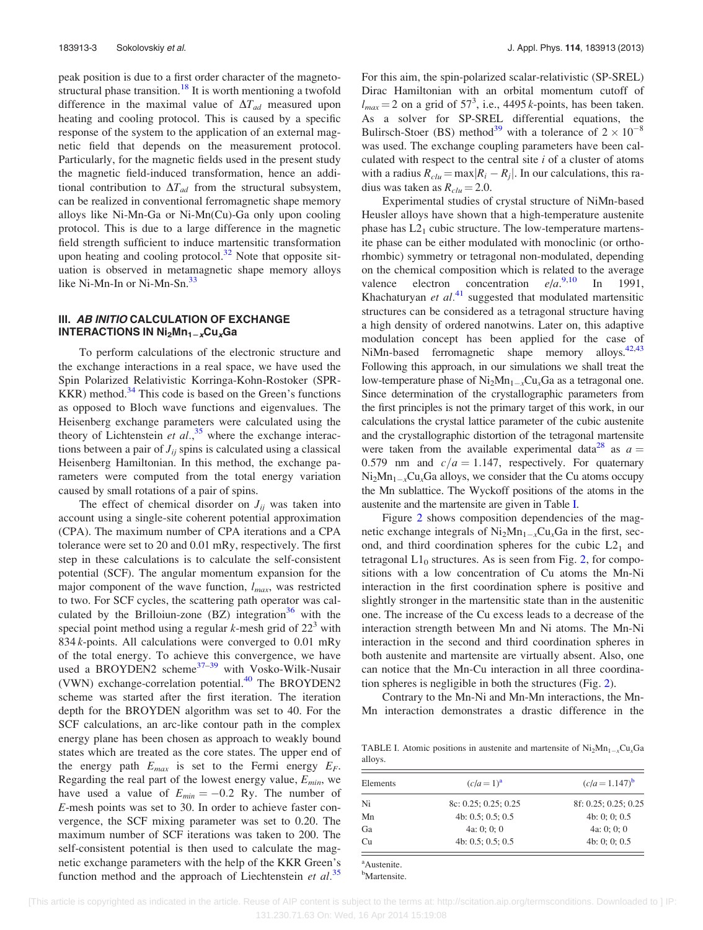<span id="page-6-0"></span>peak position is due to a first order character of the magnetostructural phase transition.<sup>18</sup> It is worth mentioning a twofold difference in the maximal value of  $\Delta T_{ad}$  measured upon heating and cooling protocol. This is caused by a specific response of the system to the application of an external magnetic field that depends on the measurement protocol. Particularly, for the magnetic fields used in the present study the magnetic field-induced transformation, hence an additional contribution to  $\Delta T_{ad}$  from the structural subsystem, can be realized in conventional ferromagnetic shape memory alloys like Ni-Mn-Ga or Ni-Mn(Cu)-Ga only upon cooling protocol. This is due to a large difference in the magnetic field strength sufficient to induce martensitic transformation upon heating and cooling protocol. $32$  Note that opposite situation is observed in metamagnetic shape memory alloys like Ni-Mn-In or Ni-Mn-Sn.<sup>[33](#page-12-0)</sup>

### III. AB INITIO CALCULATION OF EXCHANGE INTERACTIONS IN  $Ni_2Mn_1-xCu_xGa$

To perform calculations of the electronic structure and the exchange interactions in a real space, we have used the Spin Polarized Relativistic Korringa-Kohn-Rostoker (SPR- $KKR$ ) method.<sup>[34](#page-12-0)</sup> This code is based on the Green's functions as opposed to Bloch wave functions and eigenvalues. The Heisenberg exchange parameters were calculated using the theory of Lichtenstein et  $al.$ <sup>[35](#page-12-0)</sup> where the exchange interactions between a pair of  $J_{ii}$  spins is calculated using a classical Heisenberg Hamiltonian. In this method, the exchange parameters were computed from the total energy variation caused by small rotations of a pair of spins.

The effect of chemical disorder on  $J_{ii}$  was taken into account using a single-site coherent potential approximation (CPA). The maximum number of CPA iterations and a CPA tolerance were set to 20 and 0.01 mRy, respectively. The first step in these calculations is to calculate the self-consistent potential (SCF). The angular momentum expansion for the major component of the wave function,  $l_{max}$ , was restricted to two. For SCF cycles, the scattering path operator was calculated by the Brilloiun-zone  $(BZ)$  integration<sup>36</sup> with the special point method using a regular k-mesh grid of  $22<sup>3</sup>$  with 834  $k$ -points. All calculations were converged to 0.01 mRy of the total energy. To achieve this convergence, we have used a BROYDEN2 scheme<sup>[37–39](#page-12-0)</sup> with Vosko-Wilk-Nusair (VWN) exchange-correlation potential. $40$  The BROYDEN2 scheme was started after the first iteration. The iteration depth for the BROYDEN algorithm was set to 40. For the SCF calculations, an arc-like contour path in the complex energy plane has been chosen as approach to weakly bound states which are treated as the core states. The upper end of the energy path  $E_{max}$  is set to the Fermi energy  $E_F$ . Regarding the real part of the lowest energy value,  $E_{min}$ , we have used a value of  $E_{min} = -0.2$  Ry. The number of E-mesh points was set to 30. In order to achieve faster convergence, the SCF mixing parameter was set to 0.20. The maximum number of SCF iterations was taken to 200. The self-consistent potential is then used to calculate the magnetic exchange parameters with the help of the KKR Green's function method and the approach of Liechtenstein et  $al$ <sup>[35](#page-12-0)</sup> For this aim, the spin-polarized scalar-relativistic (SP-SREL) Dirac Hamiltonian with an orbital momentum cutoff of  $l_{max} = 2$  on a grid of 57<sup>3</sup>, i.e., 4495 k-points, has been taken. As a solver for SP-SREL differential equations, the Bulirsch-Stoer (BS) method<sup>[39](#page-12-0)</sup> with a tolerance of  $2 \times 10^{-8}$ was used. The exchange coupling parameters have been calculated with respect to the central site  $i$  of a cluster of atoms with a radius  $R_{\text{clu}} = \max |R_i - R_j|$ . In our calculations, this radius was taken as  $R_{\text{clu}} = 2.0$ .

Experimental studies of crystal structure of NiMn-based Heusler alloys have shown that a high-temperature austenite phase has  $L2<sub>1</sub>$  cubic structure. The low-temperature martensite phase can be either modulated with monoclinic (or orthorhombic) symmetry or tetragonal non-modulated, depending on the chemical composition which is related to the average valence electron concentration  $e/a$ <sup>[9](#page-12-0),[10](#page-12-0)</sup> In 1991, Khachaturyan et  $al^{41}$  $al^{41}$  $al^{41}$  suggested that modulated martensitic structures can be considered as a tetragonal structure having a high density of ordered nanotwins. Later on, this adaptive modulation concept has been applied for the case of NiMn-based ferromagnetic shape memory alloys.<sup>[42,43](#page-12-0)</sup> Following this approach, in our simulations we shall treat the low-temperature phase of  $Ni<sub>2</sub>Mn<sub>1-x</sub>Cu<sub>x</sub>Ga$  as a tetragonal one. Since determination of the crystallographic parameters from the first principles is not the primary target of this work, in our calculations the crystal lattice parameter of the cubic austenite and the crystallographic distortion of the tetragonal martensite were taken from the available experimental data<sup>[28](#page-12-0)</sup> as  $a =$ 0.579 nm and  $c/a = 1.147$ , respectively. For quaternary  $\text{Ni}_2\text{Mn}_{1-x}\text{Cu}_x\text{Ga}$  alloys, we consider that the Cu atoms occupy the Mn sublattice. The Wyckoff positions of the atoms in the austenite and the martensite are given in Table I.

Figure [2](#page-7-0) shows composition dependencies of the magnetic exchange integrals of  $Ni<sub>2</sub>Mn<sub>1-x</sub>Cu<sub>x</sub>Ga$  in the first, second, and third coordination spheres for the cubic  $L2<sub>1</sub>$  and tetragonal  $L1_0$  structures. As is seen from Fig. [2](#page-7-0), for compositions with a low concentration of Cu atoms the Mn-Ni interaction in the first coordination sphere is positive and slightly stronger in the martensitic state than in the austenitic one. The increase of the Cu excess leads to a decrease of the interaction strength between Mn and Ni atoms. The Mn-Ni interaction in the second and third coordination spheres in both austenite and martensite are virtually absent. Also, one can notice that the Mn-Cu interaction in all three coordination spheres is negligible in both the structures (Fig. [2](#page-7-0)).

Contrary to the Mn-Ni and Mn-Mn interactions, the Mn-Mn interaction demonstrates a drastic difference in the

TABLE I. Atomic positions in austenite and martensite of  $\text{Ni}_2\text{Mn}_{1-x}\text{Cu}_x\text{Ga}$ alloys.

| Elements | $(c/a=1)^a$               | $(c/a = 1.147)^b$    |
|----------|---------------------------|----------------------|
| Ni       | 8c: 0.25; 0.25; 0.25      | 8f: 0.25; 0.25; 0.25 |
| Mn       | 4b: $0.5$ ; $0.5$ ; $0.5$ | 4b: 0: 0: 0.5        |
| Ga       | 4a: 0: 0: 0               | 4a: 0: 0: 0          |
| Cu       | 4b: $0.5$ ; $0.5$ ; $0.5$ | 4b: 0: 0: 0.5        |

a Austenite.

<sup>b</sup>Martensite.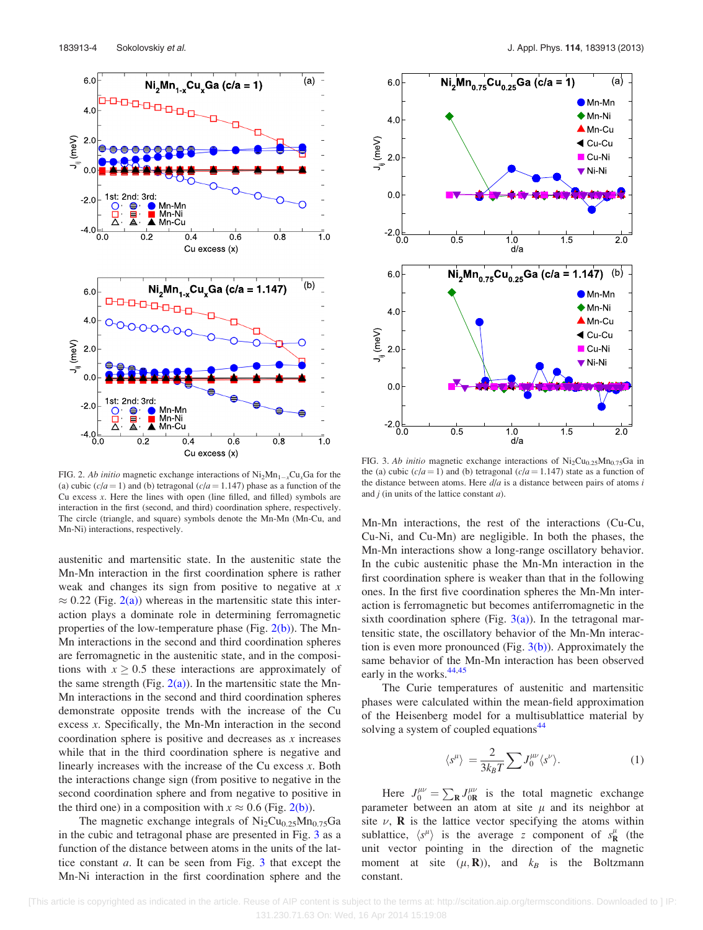<span id="page-7-0"></span>

FIG. 2. Ab initio magnetic exchange interactions of  $\text{Ni}_2\text{Mn}_{1-x}\text{Cu}_x\text{Ga}$  for the (a) cubic  $(c/a = 1)$  and (b) tetragonal  $(c/a = 1.147)$  phase as a function of the Cu excess  $x$ . Here the lines with open (line filled, and filled) symbols are interaction in the first (second, and third) coordination sphere, respectively. The circle (triangle, and square) symbols denote the Mn-Mn (Mn-Cu, and Mn-Ni) interactions, respectively.

austenitic and martensitic state. In the austenitic state the Mn-Mn interaction in the first coordination sphere is rather weak and changes its sign from positive to negative at  $x$  $\approx 0.22$  (Fig. 2(a)) whereas in the martensitic state this interaction plays a dominate role in determining ferromagnetic properties of the low-temperature phase (Fig. 2(b)). The Mn-Mn interactions in the second and third coordination spheres are ferromagnetic in the austenitic state, and in the compositions with  $x > 0.5$  these interactions are approximately of the same strength (Fig.  $2(a)$ ). In the martensitic state the Mn-Mn interactions in the second and third coordination spheres demonstrate opposite trends with the increase of the Cu excess x. Specifically, the Mn-Mn interaction in the second coordination sphere is positive and decreases as  $x$  increases while that in the third coordination sphere is negative and linearly increases with the increase of the Cu excess  $x$ . Both the interactions change sign (from positive to negative in the second coordination sphere and from negative to positive in the third one) in a composition with  $x \approx 0.6$  (Fig. 2(b)).

The magnetic exchange integrals of  $Ni<sub>2</sub>Cu<sub>0.25</sub>Mn<sub>0.75</sub>Ga$ in the cubic and tetragonal phase are presented in Fig. 3 as a function of the distance between atoms in the units of the lattice constant a. It can be seen from Fig. 3 that except the Mn-Ni interaction in the first coordination sphere and the



FIG. 3. Ab initio magnetic exchange interactions of  $\text{Ni}_2\text{Cu}_{0.25}\text{Mn}_{0.75}\text{Ga}$  in the (a) cubic  $(c/a = 1)$  and (b) tetragonal  $(c/a = 1.147)$  state as a function of the distance between atoms. Here  $d/a$  is a distance between pairs of atoms i and  $i$  (in units of the lattice constant  $a$ ).

Mn-Mn interactions, the rest of the interactions (Cu-Cu, Cu-Ni, and Cu-Mn) are negligible. In both the phases, the Mn-Mn interactions show a long-range oscillatory behavior. In the cubic austenitic phase the Mn-Mn interaction in the first coordination sphere is weaker than that in the following ones. In the first five coordination spheres the Mn-Mn interaction is ferromagnetic but becomes antiferromagnetic in the sixth coordination sphere (Fig.  $3(a)$ ). In the tetragonal martensitic state, the oscillatory behavior of the Mn-Mn interaction is even more pronounced (Fig.  $3(b)$ ). Approximately the same behavior of the Mn-Mn interaction has been observed early in the works.<sup>[44,45](#page-12-0)</sup>

The Curie temperatures of austenitic and martensitic phases were calculated within the mean-field approximation of the Heisenberg model for a multisublattice material by solving a system of coupled equations<sup>[44](#page-12-0)</sup>

$$
\langle s^{\mu} \rangle = \frac{2}{3k_B T} \sum J_0^{\mu \nu} \langle s^{\nu} \rangle.
$$
 (1)

Here  $J_0^{\mu\nu}$  $C_0^{\mu\nu} = \sum_{\mathbf{R}} J_{0\mathbf{R}}^{\mu\nu}$  is the total magnetic exchange parameter between an atom at site  $\mu$  and its neighbor at site  $\nu$ , **R** is the lattice vector specifying the atoms within sublattice,  $\langle s^{\mu} \rangle$  is the average z component of  $s^{\mu}_{\mathbf{R}}$  (the unit vector pointing in the direction of the magnetic moment at site  $(\mu, \mathbf{R})$ , and  $k_B$  is the Boltzmann constant.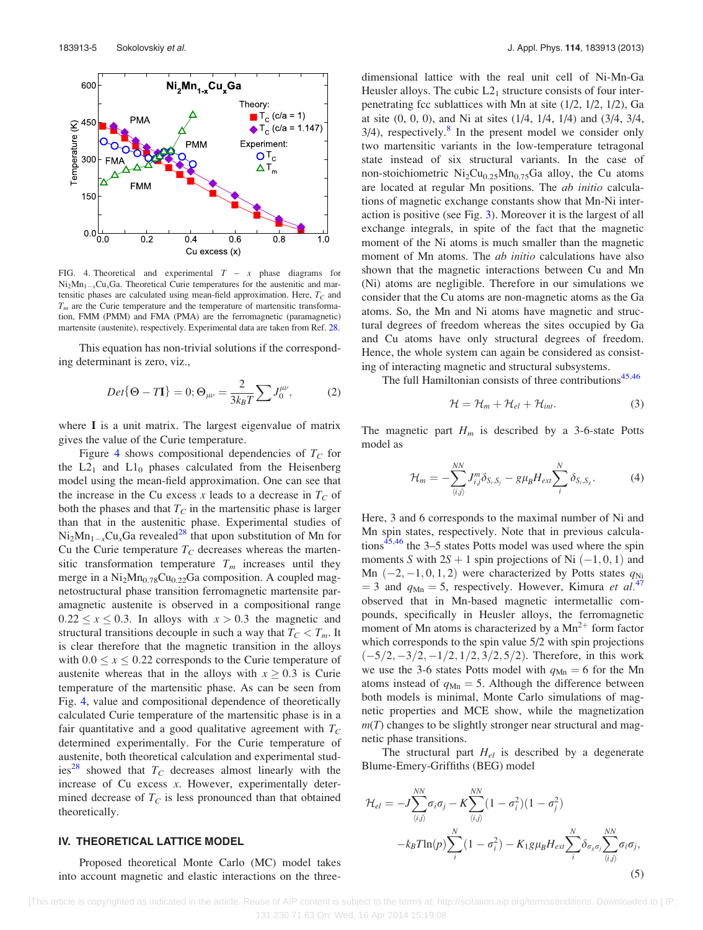<span id="page-8-0"></span>

FIG. 4. Theoretical and experimental  $T - x$  phase diagrams for  $Ni<sub>2</sub>Mn<sub>1-x</sub>Cu<sub>x</sub>Ga$ . Theoretical Curie temperatures for the austenitic and martensitic phases are calculated using mean-field approximation. Here,  $T_C$  and  $T<sub>m</sub>$  are the Curie temperature and the temperature of martensitic transformation, FMM (PMM) and FMA (PMA) are the ferromagnetic (paramagnetic) martensite (austenite), respectively. Experimental data are taken from Ref. [28](#page-12-0).

This equation has non-trivial solutions if the corresponding determinant is zero, viz.,

$$
Det\{\Theta - T\mathbf{I}\} = 0; \Theta_{\mu\nu} = \frac{2}{3k_B T} \sum J_0^{\mu\nu}, \tag{2}
$$

where I is a unit matrix. The largest eigenvalue of matrix gives the value of the Curie temperature.

Figure 4 shows compositional dependencies of  $T_c$  for the  $L2_1$  and  $L1_0$  phases calculated from the Heisenberg model using the mean-field approximation. One can see that the increase in the Cu excess x leads to a decrease in  $T_c$  of both the phases and that  $T_c$  in the martensitic phase is larger than that in the austenitic phase. Experimental studies of  $Ni<sub>2</sub>Mn<sub>1-x</sub>Cu<sub>x</sub>Ga$  revealed<sup>[28](#page-12-0)</sup> that upon substitution of Mn for Cu the Curie temperature  $T_C$  decreases whereas the martensitic transformation temperature  $T_m$  increases until they merge in a  $Ni<sub>2</sub>Mn<sub>0.78</sub>Cu<sub>0.22</sub>Ga composition. A coupled mag$ netostructural phase transition ferromagnetic martensite paramagnetic austenite is observed in a compositional range  $0.22 \le x \le 0.3$ . In alloys with  $x > 0.3$  the magnetic and structural transitions decouple in such a way that  $T_c < T_m$ . It is clear therefore that the magnetic transition in the alloys with  $0.0 \le x \le 0.22$  corresponds to the Curie temperature of austenite whereas that in the alloys with  $x \geq 0.3$  is Curie temperature of the martensitic phase. As can be seen from Fig. 4, value and compositional dependence of theoretically calculated Curie temperature of the martensitic phase is in a fair quantitative and a good qualitative agreement with  $T_C$ determined experimentally. For the Curie temperature of austenite, both theoretical calculation and experimental studies<sup>28</sup> showed that  $T_c$  decreases almost linearly with the increase of Cu excess x. However, experimentally determined decrease of  $T_C$  is less pronounced than that obtained theoretically.

### IV. THEORETICAL LATTICE MODEL

Proposed theoretical Monte Carlo (MC) model takes into account magnetic and elastic interactions on the threedimensional lattice with the real unit cell of Ni-Mn-Ga Heusler alloys. The cubic  $L2<sub>1</sub>$  structure consists of four interpenetrating fcc sublattices with Mn at site  $(1/2, 1/2, 1/2)$ , Ga at site (0, 0, 0), and Ni at sites (1/4, 1/4, 1/4) and (3/4, 3/4,  $3/4$ ), respectively.<sup>[8](#page-12-0)</sup> In the present model we consider only two martensitic variants in the low-temperature tetragonal state instead of six structural variants. In the case of non-stoichiometric  $Ni<sub>2</sub>Cu<sub>0.25</sub>Mn<sub>0.75</sub>Ga$  alloy, the Cu atoms are located at regular Mn positions. The ab initio calculations of magnetic exchange constants show that Mn-Ni interaction is positive (see Fig. [3\)](#page-7-0). Moreover it is the largest of all exchange integrals, in spite of the fact that the magnetic moment of the Ni atoms is much smaller than the magnetic moment of Mn atoms. The *ab initio* calculations have also shown that the magnetic interactions between Cu and Mn (Ni) atoms are negligible. Therefore in our simulations we consider that the Cu atoms are non-magnetic atoms as the Ga atoms. So, the Mn and Ni atoms have magnetic and structural degrees of freedom whereas the sites occupied by Ga and Cu atoms have only structural degrees of freedom. Hence, the whole system can again be considered as consisting of interacting magnetic and structural subsystems.

The full Hamiltonian consists of three contributions $45,46$ 

$$
\mathcal{H} = \mathcal{H}_m + \mathcal{H}_{el} + \mathcal{H}_{int}. \tag{3}
$$

The magnetic part  $H_m$  is described by a 3-6-state Potts model as

$$
\mathcal{H}_m = -\sum_{\langle i,j \rangle}^{NN} J_{i,j}^m \delta_{S_i,S_j} - g \mu_B H_{ext} \sum_i^N \delta_{S_i,S_g}.
$$
 (4)

Here, 3 and 6 corresponds to the maximal number of Ni and Mn spin states, respectively. Note that in previous calcula-tions<sup>[45](#page-12-0),[46](#page-12-0)</sup> the  $3-5$  states Potts model was used where the spin moments S with  $2S + 1$  spin projections of Ni  $(-1, 0, 1)$  and Mn  $(-2, -1, 0, 1, 2)$  were characterized by Potts states  $q_{Ni}$  $=$  3 and  $q_{\text{Mn}} =$  5, respectively. However, Kimura *et al.*<sup>[47](#page-12-0)</sup> observed that in Mn-based magnetic intermetallic compounds, specifically in Heusler alloys, the ferromagnetic moment of Mn atoms is characterized by a  $Mn^{2+}$  form factor which corresponds to the spin value 5/2 with spin projections  $(-5/2, -3/2, -1/2, 1/2, 3/2, 5/2)$ . Therefore, in this work we use the 3-6 states Potts model with  $q_{\text{Mn}} = 6$  for the Mn atoms instead of  $q_{\text{Mn}} = 5$ . Although the difference between both models is minimal, Monte Carlo simulations of magnetic properties and MCE show, while the magnetization  $m(T)$  changes to be slightly stronger near structural and magnetic phase transitions.

The structural part  $H_{el}$  is described by a degenerate Blume-Emery-Griffiths (BEG) model

$$
\mathcal{H}_{el} = -J \sum_{\langle i,j \rangle}^{NN} \sigma_i \sigma_j - K \sum_{\langle i,j \rangle}^{NN} (1 - \sigma_i^2)(1 - \sigma_j^2)
$$

$$
-k_B T \ln(p) \sum_{i}^{N} (1 - \sigma_i^2) - K_1 g \mu_B H_{ext} \sum_{i}^{N} \delta_{\sigma_g \sigma_j} \sum_{\langle i,j \rangle}^{NN} \sigma_i \sigma_j,
$$
(5)

 [This article is copyrighted as indicated in the article. Reuse of AIP content is subject to the terms at: http://scitation.aip.org/termsconditions. Downloaded to ] IP: 131.230.71.63 On: Wed, 16 Apr 2014 15:19:08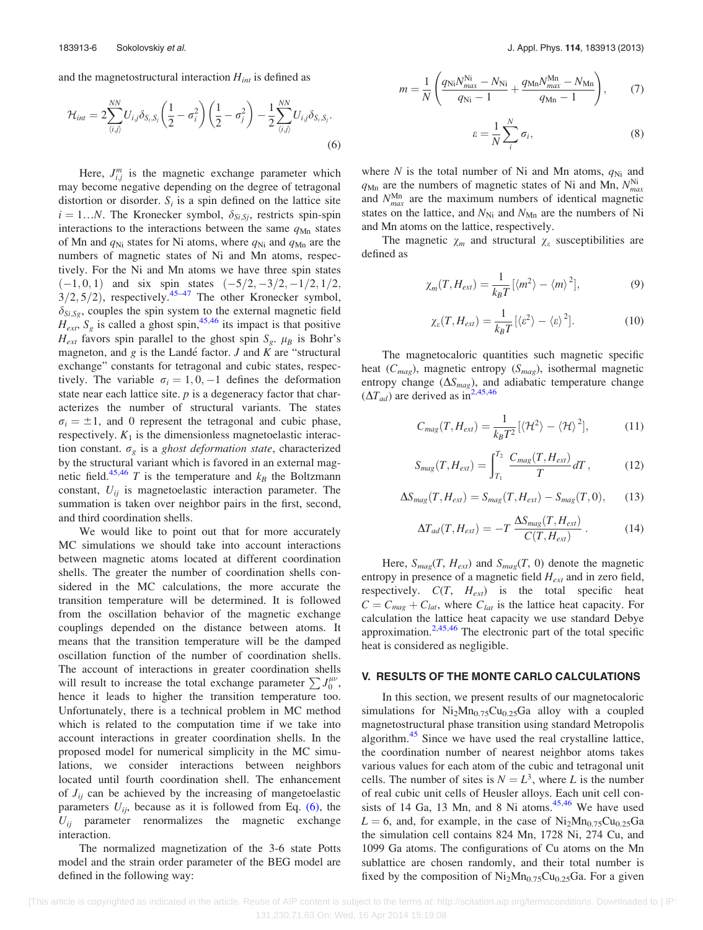<span id="page-9-0"></span>and the magnetostructural interaction  $H_{int}$  is defined as

$$
\mathcal{H}_{int} = 2 \sum_{\langle i,j \rangle}^{NN} U_{i,j} \delta_{S_i,S_j} \left( \frac{1}{2} - \sigma_i^2 \right) \left( \frac{1}{2} - \sigma_j^2 \right) - \frac{1}{2} \sum_{\langle i,j \rangle}^{NN} U_{i,j} \delta_{S_i,S_j}.
$$
\n
$$
(6)
$$

Here,  $J_{i,j}^{m}$  is the magnetic exchange parameter which may become negative depending on the degree of tetragonal distortion or disorder.  $S_i$  is a spin defined on the lattice site  $i = 1...N$ . The Kronecker symbol,  $\delta_{Si, Sj}$ , restricts spin-spin interactions to the interactions between the same  $q_{Mn}$  states of Mn and  $q_{Ni}$  states for Ni atoms, where  $q_{Ni}$  and  $q_{Mn}$  are the numbers of magnetic states of Ni and Mn atoms, respectively. For the Ni and Mn atoms we have three spin states  $(-1, 0, 1)$  and six spin states  $(-5/2, -3/2, -1/2, 1/2,$  $3/2, 5/2)$ , respectively.<sup>[45–47](#page-12-0)</sup> The other Kronecker symbol,  $\delta_{Si, Sg}$ , couples the spin system to the external magnetic field  $H_{ext}$ ,  $S_g$  is called a ghost spin,<sup>[45](#page-12-0),[46](#page-12-0)</sup> its impact is that positive  $H_{ext}$  favors spin parallel to the ghost spin  $S_g$ .  $\mu_B$  is Bohr's magneton, and  $g$  is the Landé factor.  $J$  and  $K$  are "structural exchange" constants for tetragonal and cubic states, respectively. The variable  $\sigma_i = 1, 0, -1$  defines the deformation state near each lattice site.  $p$  is a degeneracy factor that characterizes the number of structural variants. The states  $\sigma_i = \pm 1$ , and 0 represent the tetragonal and cubic phase, respectively.  $K_1$  is the dimensionless magnetoelastic interaction constant.  $\sigma_g$  is a ghost deformation state, characterized by the structural variant which is favored in an external mag-netic field.<sup>[45,46](#page-12-0)</sup> T is the temperature and  $k_B$  the Boltzmann constant,  $U_{ii}$  is magnetoelastic interaction parameter. The summation is taken over neighbor pairs in the first, second, and third coordination shells.

We would like to point out that for more accurately MC simulations we should take into account interactions between magnetic atoms located at different coordination shells. The greater the number of coordination shells considered in the MC calculations, the more accurate the transition temperature will be determined. It is followed from the oscillation behavior of the magnetic exchange couplings depended on the distance between atoms. It means that the transition temperature will be the damped oscillation function of the number of coordination shells. The account of interactions in greater coordination shells will result to increase the total exchange parameter  $\sum J_0^{\mu\nu}$ , hence it leads to higher the transition temperature too. Unfortunately, there is a technical problem in MC method which is related to the computation time if we take into account interactions in greater coordination shells. In the proposed model for numerical simplicity in the MC simulations, we consider interactions between neighbors located until fourth coordination shell. The enhancement of  $J_{ij}$  can be achieved by the increasing of mangetoelastic parameters  $U_{ij}$ , because as it is followed from Eq. (6), the  $U_{ij}$  parameter renormalizes the magnetic exchange interaction.

The normalized magnetization of the 3-6 state Potts model and the strain order parameter of the BEG model are defined in the following way:

$$
m = \frac{1}{N} \left( \frac{q_{\rm Ni} N_{\rm max}^{\rm Ni} - N_{\rm Ni}}{q_{\rm Ni} - 1} + \frac{q_{\rm Mn} N_{\rm max}^{\rm Mn} - N_{\rm Mn}}{q_{\rm Mn} - 1} \right),\tag{7}
$$

$$
\varepsilon = \frac{1}{N} \sum_{i}^{N} \sigma_{i},\tag{8}
$$

where N is the total number of Ni and Mn atoms,  $q_{Ni}$  and  $q_{Mn}$  are the numbers of magnetic states of Ni and Mn,  $N_{max}^{Ni}$ and  $N_{max}^{\text{Mn}}$  are the maximum numbers of identical magnetic states on the lattice, and  $N_{\text{Ni}}$  and  $N_{\text{Mn}}$  are the numbers of Ni and Mn atoms on the lattice, respectively.

The magnetic  $\chi_m$  and structural  $\chi_{\varepsilon}$  susceptibilities are defined as

$$
\chi_m(T, H_{ext}) = \frac{1}{k_B T} \left[ \langle m^2 \rangle - \langle m \rangle^2 \right],\tag{9}
$$

$$
\chi_{\varepsilon}(T, H_{ext}) = \frac{1}{k_B T} [\langle \varepsilon^2 \rangle - \langle \varepsilon \rangle^2]. \tag{10}
$$

The magnetocaloric quantities such magnetic specific heat  $(C_{mag})$ , magnetic entropy  $(S_{mag})$ , isothermal magnetic entropy change  $(\Delta S_{mag})$ , and adiabatic temperature change  $(\Delta T_{ad})$  are derived as in<sup>[2,](#page-11-0)[45,46](#page-12-0)</sup>

$$
C_{mag}(T, H_{ext}) = \frac{1}{k_B T^2} \left[ \langle \mathcal{H}^2 \rangle - \langle \mathcal{H} \rangle^2 \right], \tag{11}
$$

$$
S_{mag}(T, H_{ext}) = \int_{T_1}^{T_2} \frac{C_{mag}(T, H_{ext})}{T} dT, \qquad (12)
$$

$$
\Delta S_{mag}(T, H_{ext}) = S_{mag}(T, H_{ext}) - S_{mag}(T, 0), \qquad (13)
$$

$$
\Delta T_{ad}(T, H_{ext}) = -T \frac{\Delta S_{mag}(T, H_{ext})}{C(T, H_{ext})} \,. \tag{14}
$$

Here,  $S_{mag}(T, H_{ext})$  and  $S_{mag}(T, 0)$  denote the magnetic entropy in presence of a magnetic field  $H_{ext}$  and in zero field, respectively.  $C(T, H_{ext})$  is the total specific heat  $C = C_{mag} + C_{lat}$ , where  $C_{lat}$  is the lattice heat capacity. For calculation the lattice heat capacity we use standard Debye approximation.<sup>[2,](#page-11-0)[45,46](#page-12-0)</sup> The electronic part of the total specific heat is considered as negligible.

#### V. RESULTS OF THE MONTE CARLO CALCULATIONS

In this section, we present results of our magnetocaloric simulations for  $Ni<sub>2</sub>Mn<sub>0.75</sub>Cu<sub>0.25</sub>Ga$  alloy with a coupled magnetostructural phase transition using standard Metropolis algorithm.<sup>[45](#page-12-0)</sup> Since we have used the real crystalline lattice, the coordination number of nearest neighbor atoms takes various values for each atom of the cubic and tetragonal unit cells. The number of sites is  $N = L<sup>3</sup>$ , where L is the number of real cubic unit cells of Heusler alloys. Each unit cell consists of 14 Ga, 13 Mn, and 8 Ni atoms. $45,46$  We have used  $L = 6$ , and, for example, in the case of Ni<sub>2</sub>Mn<sub>0.75</sub>Cu<sub>0.25</sub>Ga the simulation cell contains 824 Mn, 1728 Ni, 274 Cu, and 1099 Ga atoms. The configurations of Cu atoms on the Mn sublattice are chosen randomly, and their total number is fixed by the composition of  $Ni<sub>2</sub>Mn<sub>0.75</sub>Cu<sub>0.25</sub>Ga$ . For a given

 <sup>[</sup>This article is copyrighted as indicated in the article. Reuse of AIP content is subject to the terms at: http://scitation.aip.org/termsconditions. Downloaded to ] IP: 131.230.71.63 On: Wed, 16 Apr 2014 15:19:08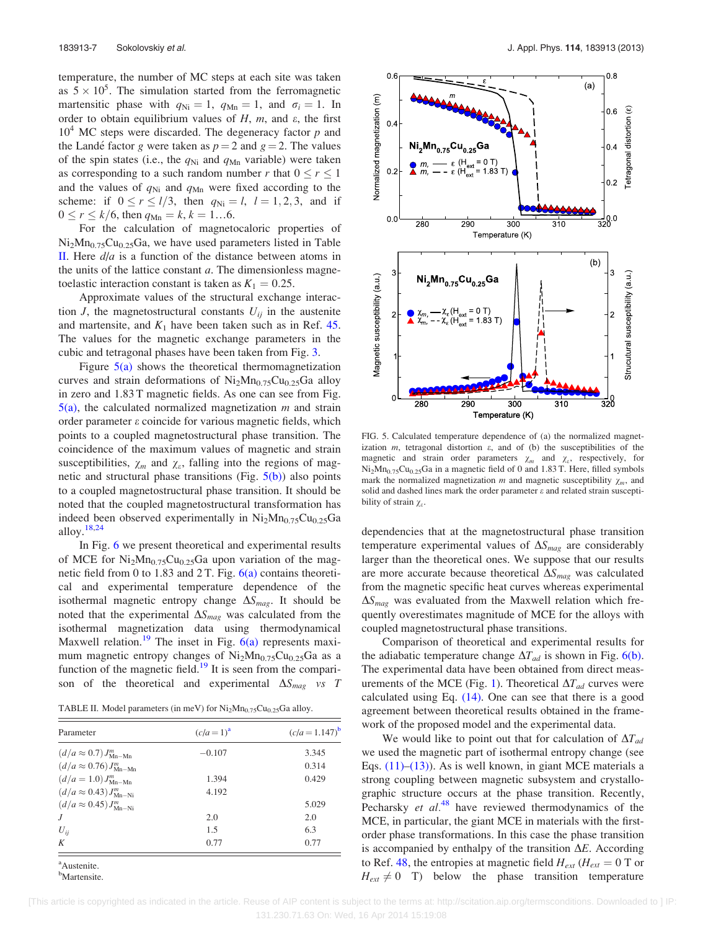temperature, the number of MC steps at each site was taken as  $5 \times 10^5$ . The simulation started from the ferromagnetic martensitic phase with  $q_{\text{Ni}} = 1$ ,  $q_{\text{Mn}} = 1$ , and  $\sigma_i = 1$ . In order to obtain equilibrium values of  $H$ ,  $m$ , and  $\varepsilon$ , the first  $10<sup>4</sup>$  MC steps were discarded. The degeneracy factor p and the Landé factor g were taken as  $p = 2$  and  $g = 2$ . The values of the spin states (i.e., the  $q_{\text{Ni}}$  and  $q_{\text{Mn}}$  variable) were taken as corresponding to a such random number r that  $0 \le r \le 1$ and the values of  $q_{Ni}$  and  $q_{Mn}$  were fixed according to the scheme: if  $0 \le r \le l/3$ , then  $q_{Ni} = l$ ,  $l = 1, 2, 3$ , and if  $0 \le r \le k/6$ , then  $q_{\text{Mn}} = k, k = 1...6$ .

For the calculation of magnetocaloric properties of  $Ni<sub>2</sub>Mn<sub>0.75</sub>Cu<sub>0.25</sub>Ga$ , we have used parameters listed in Table II. Here  $d/a$  is a function of the distance between atoms in the units of the lattice constant  $a$ . The dimensionless magnetoelastic interaction constant is taken as  $K_1 = 0.25$ .

Approximate values of the structural exchange interaction *J*, the magnetostructural constants  $U_{ij}$  in the austenite and martensite, and  $K_1$  have been taken such as in Ref. [45.](#page-12-0) The values for the magnetic exchange parameters in the cubic and tetragonal phases have been taken from Fig. [3.](#page-7-0)

Figure  $5(a)$  shows the theoretical thermomagnetization curves and strain deformations of  $Ni<sub>2</sub>Mn<sub>0.75</sub>Cu<sub>0.25</sub>Ga$  alloy in zero and 1.83 T magnetic fields. As one can see from Fig.  $5(a)$ , the calculated normalized magnetization m and strain order parameter  $\varepsilon$  coincide for various magnetic fields, which points to a coupled magnetostructural phase transition. The coincidence of the maximum values of magnetic and strain susceptibilities,  $\chi_m$  and  $\chi_{\varepsilon}$ , falling into the regions of magnetic and structural phase transitions (Fig.  $5(b)$ ) also points to a coupled magnetostructural phase transition. It should be noted that the coupled magnetostructural transformation has indeed been observed experimentally in  $Ni<sub>2</sub>Mn<sub>0.75</sub>Cu<sub>0.25</sub>Ga$ alloy.[18,24](#page-12-0)

In Fig. [6](#page-11-0) we present theoretical and experimental results of MCE for  $Ni<sub>2</sub>Mn<sub>0.75</sub>Cu<sub>0.25</sub>Ga$  upon variation of the magnetic field from 0 to 1.83 and 2 T. Fig.  $6(a)$  contains theoretical and experimental temperature dependence of the isothermal magnetic entropy change  $\Delta S_{mag}$ . It should be noted that the experimental  $\Delta S_{mag}$  was calculated from the isothermal magnetization data using thermodynamical Maxwell relation.<sup>[19](#page-12-0)</sup> The inset in Fig.  $6(a)$  represents maximum magnetic entropy changes of  $Ni<sub>2</sub>Mn<sub>0.75</sub>Cu<sub>0.25</sub>Ga$  as a function of the magnetic field.<sup>[19](#page-12-0)</sup> It is seen from the comparison of the theoretical and experimental  $\Delta S_{mag}$  vs T

TABLE II. Model parameters (in meV) for  $Ni<sub>2</sub>Mn<sub>0.75</sub>Cu<sub>0.25</sub>Ga$  alloy.

| Parameter                               | $(c/a=1)^a$ | $(c/a = 1.147)^{b}$ |
|-----------------------------------------|-------------|---------------------|
| $(d/a \approx 0.7) J^m_{\text{Mn-Mn}}$  | $-0.107$    | 3.345               |
| $(d/a \approx 0.76) J^m_{\text{Mn-Mn}}$ |             | 0.314               |
| $(d/a = 1.0) J^m_{\text{Mn-Mn}}$        | 1.394       | 0.429               |
| $(d/a \approx 0.43) J_{\text{Mn-Ni}}^m$ | 4.192       |                     |
| $(d/a \approx 0.45) J^m_{\text{Mn-Ni}}$ |             | 5.029               |
| $\overline{J}$                          | 2.0         | 2.0                 |
| $U_{ii}$                                | 1.5         | 6.3                 |
| K                                       | 0.77        | 0.77                |

Austenite.

<sup>b</sup>Martensite.



FIG. 5. Calculated temperature dependence of (a) the normalized magnetization  $m$ , tetragonal distortion  $\varepsilon$ , and of (b) the susceptibilities of the magnetic and strain order parameters  $\chi_m$  and  $\chi_{\varepsilon}$ , respectively, for Ni<sub>2</sub>Mn<sub>0.75</sub>Cu<sub>0.25</sub>Ga in a magnetic field of 0 and 1.83 T. Here, filled symbols mark the normalized magnetization m and magnetic susceptibility  $\chi_m$ , and solid and dashed lines mark the order parameter  $\varepsilon$  and related strain susceptibility of strain  $\chi_e$ .

dependencies that at the magnetostructural phase transition temperature experimental values of  $\Delta S_{mag}$  are considerably larger than the theoretical ones. We suppose that our results are more accurate because theoretical  $\Delta S_{mag}$  was calculated from the magnetic specific heat curves whereas experimental  $\Delta S_{\text{mag}}$  was evaluated from the Maxwell relation which frequently overestimates magnitude of MCE for the alloys with coupled magnetostructural phase transitions.

Comparison of theoretical and experimental results for the adiabatic temperature change  $\Delta T_{ad}$  is shown in Fig. [6\(b\)](#page-11-0). The experimental data have been obtained from direct meas-urements of the MCE (Fig. [1](#page-5-0)). Theoretical  $\Delta T_{ad}$  curves were calculated using Eq. [\(14\)](#page-9-0). One can see that there is a good agreement between theoretical results obtained in the framework of the proposed model and the experimental data.

We would like to point out that for calculation of  $\Delta T_{ad}$ we used the magnetic part of isothermal entropy change (see Eqs.  $(11)$ – $(13)$ ). As is well known, in giant MCE materials a strong coupling between magnetic subsystem and crystallographic structure occurs at the phase transition. Recently, Pecharsky et  $al^{48}$  $al^{48}$  $al^{48}$  have reviewed thermodynamics of the MCE, in particular, the giant MCE in materials with the firstorder phase transformations. In this case the phase transition is accompanied by enthalpy of the transition  $\Delta E$ . According to Ref. [48](#page-12-0), the entropies at magnetic field  $H_{ext}$  ( $H_{ext} = 0$  T or  $H_{ext} \neq 0$  T) below the phase transition temperature

 [This article is copyrighted as indicated in the article. Reuse of AIP content is subject to the terms at: http://scitation.aip.org/termsconditions. Downloaded to ] IP: 131.230.71.63 On: Wed, 16 Apr 2014 15:19:08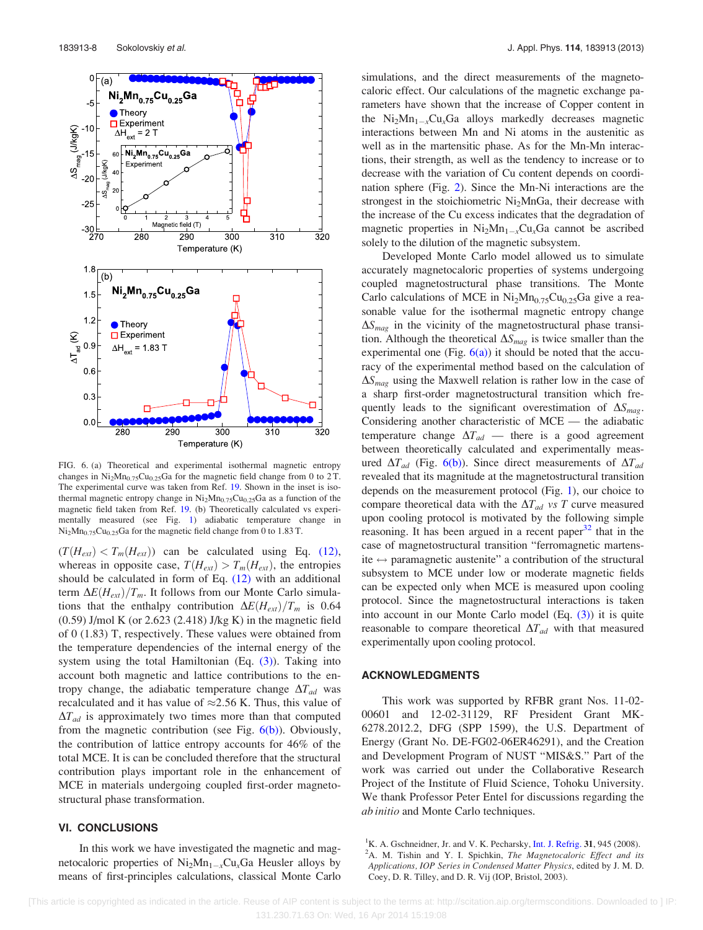<span id="page-11-0"></span>

FIG. 6. (a) Theoretical and experimental isothermal magnetic entropy changes in  $Ni<sub>2</sub>Mn<sub>0.75</sub>Cu<sub>0.25</sub>Ga$  for the magnetic field change from 0 to 2T. The experimental curve was taken from Ref. [19.](#page-12-0) Shown in the inset is isothermal magnetic entropy change in  $Ni<sub>2</sub>Mn<sub>0.75</sub>Cu<sub>0.25</sub>Ga$  as a function of the magnetic field taken from Ref. [19.](#page-12-0) (b) Theoretically calculated vs experimentally measured (see Fig. [1\)](#page-5-0) adiabatic temperature change in  $Ni<sub>2</sub>Mn<sub>0.75</sub>Cu<sub>0.25</sub>Ga$  for the magnetic field change from 0 to 1.83 T.

 $(T(H_{ext}) < T_m(H_{ext}))$  can be calculated using Eq. [\(12\),](#page-9-0) whereas in opposite case,  $T(H_{ext}) > T_m(H_{ext})$ , the entropies should be calculated in form of Eq. [\(12\)](#page-9-0) with an additional term  $\Delta E(H_{ext})/T_m$ . It follows from our Monte Carlo simulations that the enthalpy contribution  $\Delta E(H_{ext})/T_m$  is 0.64 (0.59) J/mol K (or 2.623 (2.418) J/kg K) in the magnetic field of 0 (1.83) T, respectively. These values were obtained from the temperature dependencies of the internal energy of the system using the total Hamiltonian (Eq.  $(3)$ ). Taking into account both magnetic and lattice contributions to the entropy change, the adiabatic temperature change  $\Delta T_{ad}$  was recalculated and it has value of  $\approx$  2.56 K. Thus, this value of  $\Delta T_{ad}$  is approximately two times more than that computed from the magnetic contribution (see Fig.  $6(b)$ ). Obviously, the contribution of lattice entropy accounts for 46% of the total MCE. It is can be concluded therefore that the structural contribution plays important role in the enhancement of MCE in materials undergoing coupled first-order magnetostructural phase transformation.

### VI. CONCLUSIONS

In this work we have investigated the magnetic and magnetocaloric properties of  $Ni<sub>2</sub>Mn<sub>1-x</sub>Cu<sub>x</sub>Ga$  Heusler alloys by means of first-principles calculations, classical Monte Carlo simulations, and the direct measurements of the magnetocaloric effect. Our calculations of the magnetic exchange parameters have shown that the increase of Copper content in the  $Ni<sub>2</sub>Mn<sub>1-x</sub>Cu<sub>x</sub>Ga$  alloys markedly decreases magnetic interactions between Mn and Ni atoms in the austenitic as well as in the martensitic phase. As for the Mn-Mn interactions, their strength, as well as the tendency to increase or to decrease with the variation of Cu content depends on coordination sphere (Fig. [2\)](#page-7-0). Since the Mn-Ni interactions are the strongest in the stoichiometric Ni<sub>2</sub>MnGa, their decrease with the increase of the Cu excess indicates that the degradation of magnetic properties in  $Ni<sub>2</sub>Mn<sub>1-x</sub>Cu<sub>x</sub>Ga$  cannot be ascribed solely to the dilution of the magnetic subsystem.

Developed Monte Carlo model allowed us to simulate accurately magnetocaloric properties of systems undergoing coupled magnetostructural phase transitions. The Monte Carlo calculations of MCE in  $Ni<sub>2</sub>Mn<sub>0.75</sub>Cu<sub>0.25</sub>Ga$  give a reasonable value for the isothermal magnetic entropy change  $\Delta S_{mag}$  in the vicinity of the magnetostructural phase transition. Although the theoretical  $\Delta S_{mag}$  is twice smaller than the experimental one (Fig.  $6(a)$ ) it should be noted that the accuracy of the experimental method based on the calculation of  $\Delta S_{\text{mag}}$  using the Maxwell relation is rather low in the case of a sharp first-order magnetostructural transition which frequently leads to the significant overestimation of  $\Delta S_{\text{mag}}$ . Considering another characteristic of MCE — the adiabatic temperature change  $\Delta T_{ad}$  — there is a good agreement between theoretically calculated and experimentally measured  $\Delta T_{ad}$  (Fig. 6(b)). Since direct measurements of  $\Delta T_{ad}$ revealed that its magnitude at the magnetostructural transition depends on the measurement protocol (Fig. [1\)](#page-5-0), our choice to compare theoretical data with the  $\Delta T_{ad}$  vs T curve measured upon cooling protocol is motivated by the following simple reasoning. It has been argued in a recent paper $32$  that in the case of magnetostructural transition "ferromagnetic martensite  $\leftrightarrow$  paramagnetic austenite" a contribution of the structural subsystem to MCE under low or moderate magnetic fields can be expected only when MCE is measured upon cooling protocol. Since the magnetostructural interactions is taken into account in our Monte Carlo model (Eq. [\(3\)](#page-8-0)) it is quite reasonable to compare theoretical  $\Delta T_{ad}$  with that measured experimentally upon cooling protocol.

### ACKNOWLEDGMENTS

This work was supported by RFBR grant Nos. 11-02- 00601 and 12-02-31129, RF President Grant MK-6278.2012.2, DFG (SPP 1599), the U.S. Department of Energy (Grant No. DE-FG02-06ER46291), and the Creation and Development Program of NUST "MIS&S." Part of the work was carried out under the Collaborative Research Project of the Institute of Fluid Science, Tohoku University. We thank Professor Peter Entel for discussions regarding the ab initio and Monte Carlo techniques.

<sup>&</sup>lt;sup>1</sup>K. A. Gschneidner, Jr. and V. K. Pecharsky, [Int. J. Refrig.](http://dx.doi.org/10.1016/j.ijrefrig.2008.01.004) **31**, 945 (2008).  ${}^{2}$ A. M. Tishin and Y. I. Spichkin, The Magnetocaloric Effect and its Applications, IOP Series in Condensed Matter Physics, edited by J. M. D. Coey, D. R. Tilley, and D. R. Vij (IOP, Bristol, 2003).